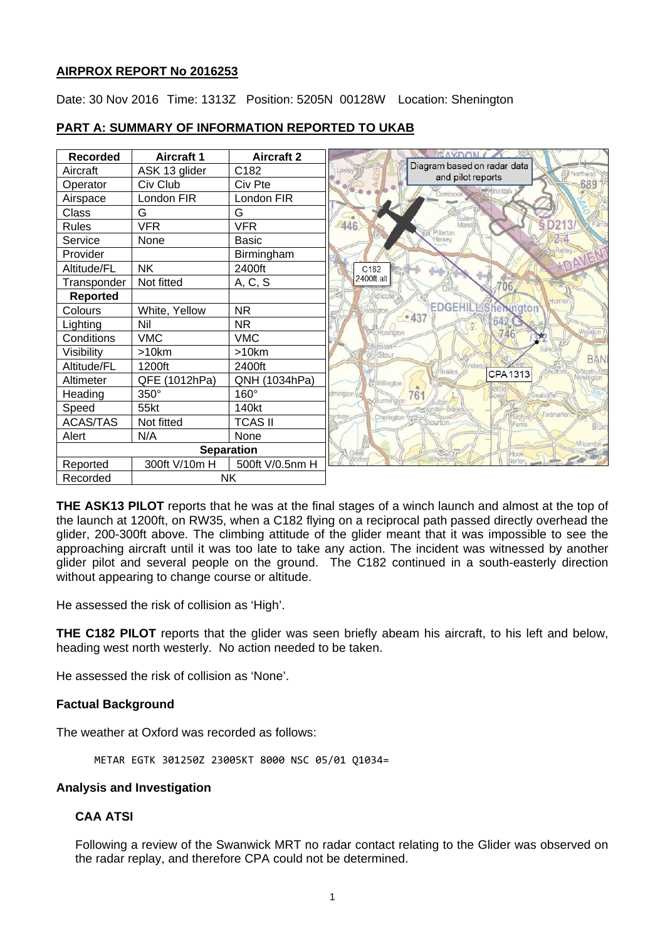# **AIRPROX REPORT No 2016253**

Date: 30 Nov 2016 Time: 1313Z Position: 5205N 00128W Location: Shenington



## **PART A: SUMMARY OF INFORMATION REPORTED TO UKAB**

**THE ASK13 PILOT** reports that he was at the final stages of a winch launch and almost at the top of the launch at 1200ft, on RW35, when a C182 flying on a reciprocal path passed directly overhead the glider, 200-300ft above. The climbing attitude of the glider meant that it was impossible to see the approaching aircraft until it was too late to take any action. The incident was witnessed by another glider pilot and several people on the ground. The C182 continued in a south-easterly direction without appearing to change course or altitude.

He assessed the risk of collision as 'High'.

**THE C182 PILOT** reports that the glider was seen briefly abeam his aircraft, to his left and below, heading west north westerly. No action needed to be taken.

He assessed the risk of collision as 'None'.

# **Factual Background**

The weather at Oxford was recorded as follows:

METAR EGTK 301250Z 23005KT 8000 NSC 05/01 Q1034=

# **Analysis and Investigation**

# **CAA ATSI**

Following a review of the Swanwick MRT no radar contact relating to the Glider was observed on the radar replay, and therefore CPA could not be determined.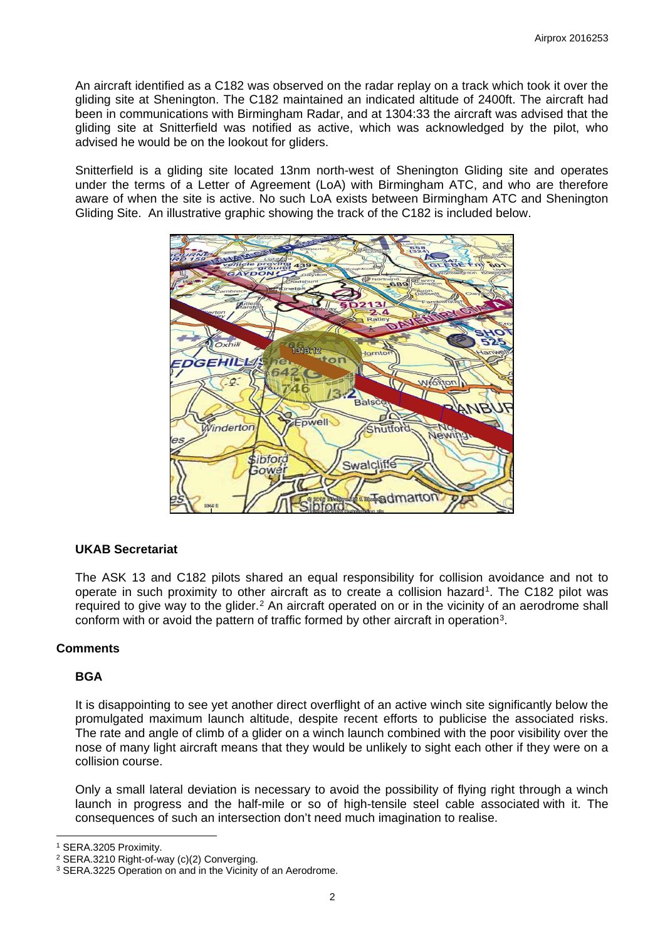An aircraft identified as a C182 was observed on the radar replay on a track which took it over the gliding site at Shenington. The C182 maintained an indicated altitude of 2400ft. The aircraft had been in communications with Birmingham Radar, and at 1304:33 the aircraft was advised that the gliding site at Snitterfield was notified as active, which was acknowledged by the pilot, who advised he would be on the lookout for gliders.

Snitterfield is a gliding site located 13nm north-west of Shenington Gliding site and operates under the terms of a Letter of Agreement (LoA) with Birmingham ATC, and who are therefore aware of when the site is active. No such LoA exists between Birmingham ATC and Shenington Gliding Site. An illustrative graphic showing the track of the C182 is included below.



# **UKAB Secretariat**

The ASK 13 and C182 pilots shared an equal responsibility for collision avoidance and not to operate in such proximity to other aircraft as to create a collision hazard<sup>[1](#page-1-0)</sup>. The C182 pilot was required to give way to the glider.<sup>[2](#page-1-1)</sup> An aircraft operated on or in the vicinity of an aerodrome shall conform with or avoid the pattern of traffic formed by other aircraft in operation[3.](#page-1-2)

#### **Comments**

#### **BGA**

It is disappointing to see yet another direct overflight of an active winch site significantly below the promulgated maximum launch altitude, despite recent efforts to publicise the associated risks. The rate and angle of climb of a glider on a winch launch combined with the poor visibility over the nose of many light aircraft means that they would be unlikely to sight each other if they were on a collision course.

Only a small lateral deviation is necessary to avoid the possibility of flying right through a winch launch in progress and the half-mile or so of high-tensile steel cable associated with it. The consequences of such an intersection don't need much imagination to realise.

 $\overline{a}$ 

<span id="page-1-0"></span><sup>1</sup> SERA.3205 Proximity.

<span id="page-1-1"></span><sup>2</sup> SERA.3210 Right-of-way (c)(2) Converging.

<span id="page-1-2"></span><sup>&</sup>lt;sup>3</sup> SERA.3225 Operation on and in the Vicinity of an Aerodrome.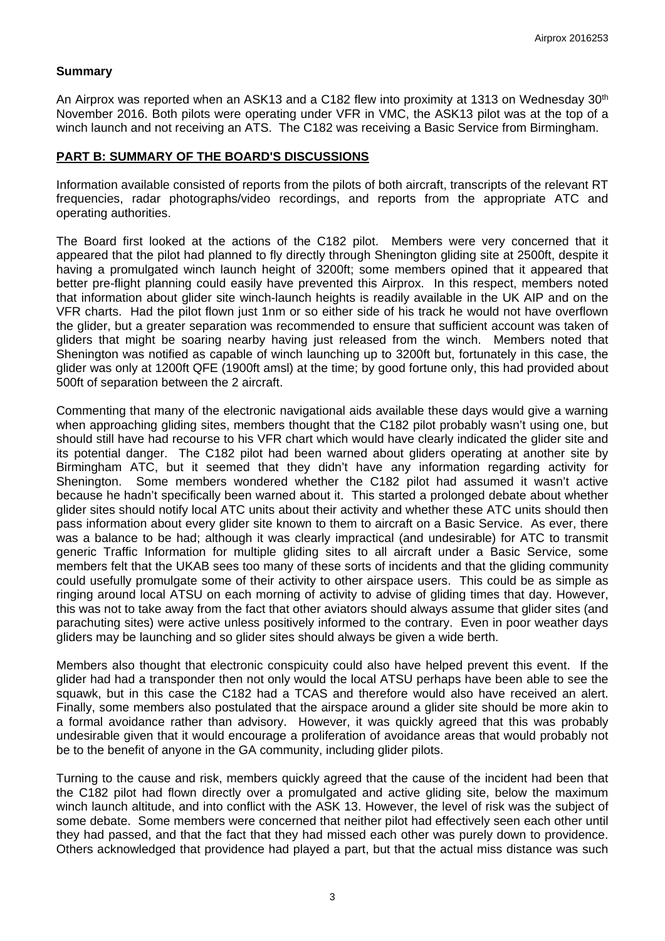## **Summary**

An Airprox was reported when an ASK13 and a C182 flew into proximity at 1313 on Wednesday 30<sup>th</sup> November 2016. Both pilots were operating under VFR in VMC, the ASK13 pilot was at the top of a winch launch and not receiving an ATS. The C182 was receiving a Basic Service from Birmingham.

## **PART B: SUMMARY OF THE BOARD'S DISCUSSIONS**

Information available consisted of reports from the pilots of both aircraft, transcripts of the relevant RT frequencies, radar photographs/video recordings, and reports from the appropriate ATC and operating authorities.

The Board first looked at the actions of the C182 pilot. Members were very concerned that it appeared that the pilot had planned to fly directly through Shenington gliding site at 2500ft, despite it having a promulgated winch launch height of 3200ft; some members opined that it appeared that better pre-flight planning could easily have prevented this Airprox. In this respect, members noted that information about glider site winch-launch heights is readily available in the UK AIP and on the VFR charts. Had the pilot flown just 1nm or so either side of his track he would not have overflown the glider, but a greater separation was recommended to ensure that sufficient account was taken of gliders that might be soaring nearby having just released from the winch. Members noted that Shenington was notified as capable of winch launching up to 3200ft but, fortunately in this case, the glider was only at 1200ft QFE (1900ft amsl) at the time; by good fortune only, this had provided about 500ft of separation between the 2 aircraft.

Commenting that many of the electronic navigational aids available these days would give a warning when approaching gliding sites, members thought that the C182 pilot probably wasn't using one, but should still have had recourse to his VFR chart which would have clearly indicated the glider site and its potential danger. The C182 pilot had been warned about gliders operating at another site by Birmingham ATC, but it seemed that they didn't have any information regarding activity for Shenington. Some members wondered whether the C182 pilot had assumed it wasn't active because he hadn't specifically been warned about it. This started a prolonged debate about whether glider sites should notify local ATC units about their activity and whether these ATC units should then pass information about every glider site known to them to aircraft on a Basic Service. As ever, there was a balance to be had; although it was clearly impractical (and undesirable) for ATC to transmit generic Traffic Information for multiple gliding sites to all aircraft under a Basic Service, some members felt that the UKAB sees too many of these sorts of incidents and that the gliding community could usefully promulgate some of their activity to other airspace users. This could be as simple as ringing around local ATSU on each morning of activity to advise of gliding times that day. However, this was not to take away from the fact that other aviators should always assume that glider sites (and parachuting sites) were active unless positively informed to the contrary. Even in poor weather days gliders may be launching and so glider sites should always be given a wide berth.

Members also thought that electronic conspicuity could also have helped prevent this event. If the glider had had a transponder then not only would the local ATSU perhaps have been able to see the squawk, but in this case the C182 had a TCAS and therefore would also have received an alert. Finally, some members also postulated that the airspace around a glider site should be more akin to a formal avoidance rather than advisory. However, it was quickly agreed that this was probably undesirable given that it would encourage a proliferation of avoidance areas that would probably not be to the benefit of anyone in the GA community, including glider pilots.

Turning to the cause and risk, members quickly agreed that the cause of the incident had been that the C182 pilot had flown directly over a promulgated and active gliding site, below the maximum winch launch altitude, and into conflict with the ASK 13. However, the level of risk was the subject of some debate. Some members were concerned that neither pilot had effectively seen each other until they had passed, and that the fact that they had missed each other was purely down to providence. Others acknowledged that providence had played a part, but that the actual miss distance was such